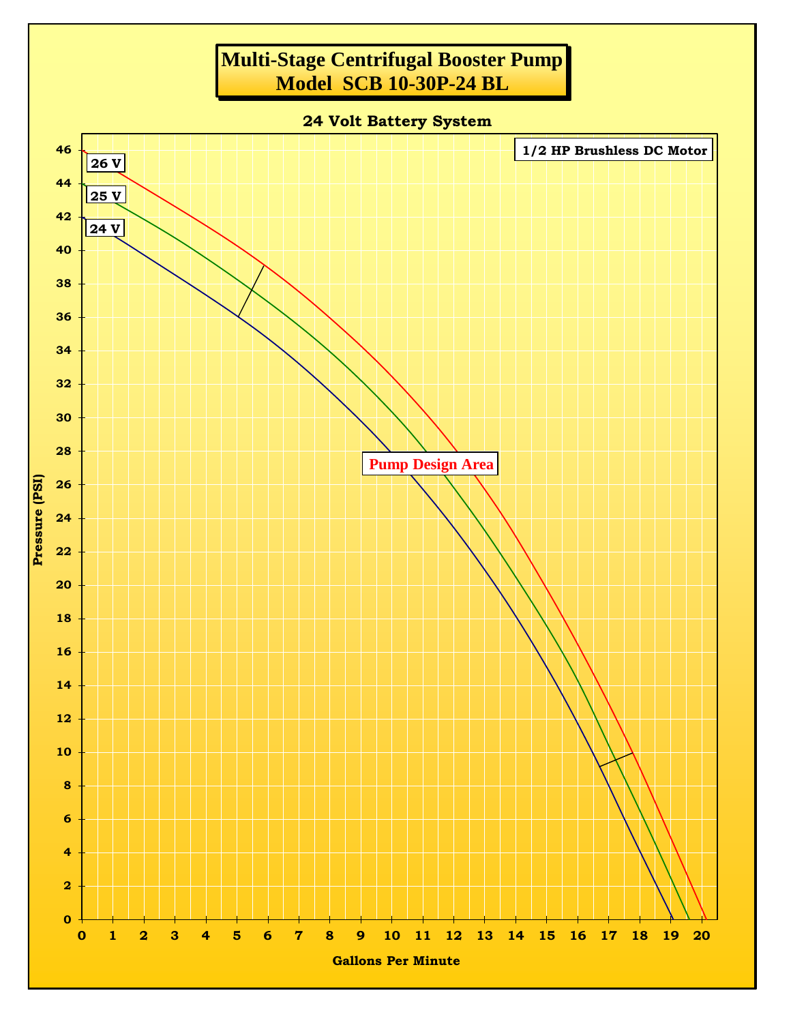